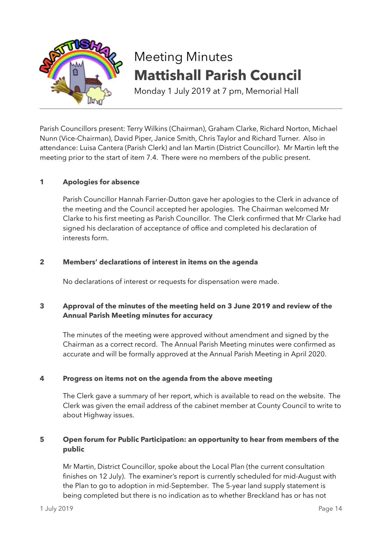

# Meeting Minutes **Mattishall Parish Council**

Monday 1 July 2019 at 7 pm, Memorial Hall

Parish Councillors present: Terry Wilkins (Chairman), Graham Clarke, Richard Norton, Michael Nunn (Vice-Chairman), David Piper, Janice Smith, Chris Taylor and Richard Turner. Also in attendance: Luisa Cantera (Parish Clerk) and Ian Martin (District Councillor). Mr Martin left the meeting prior to the start of item 7.4. There were no members of the public present.

## **1 Apologies for absence**

Parish Councillor Hannah Farrier-Dutton gave her apologies to the Clerk in advance of the meeting and the Council accepted her apologies. The Chairman welcomed Mr Clarke to his first meeting as Parish Councillor. The Clerk confirmed that Mr Clarke had signed his declaration of acceptance of office and completed his declaration of interests form.

## **2 Members' declarations of interest in items on the agenda**

No declarations of interest or requests for dispensation were made.

## **3 Approval of the minutes of the meeting held on 3 June 2019 and review of the Annual Parish Meeting minutes for accuracy**

The minutes of the meeting were approved without amendment and signed by the Chairman as a correct record. The Annual Parish Meeting minutes were confirmed as accurate and will be formally approved at the Annual Parish Meeting in April 2020.

## **4 Progress on items not on the agenda from the above meeting**

The Clerk gave a summary of her report, which is available to read on the website. The Clerk was given the email address of the cabinet member at County Council to write to about Highway issues.

## **5 Open forum for Public Participation: an opportunity to hear from members of the public**

Mr Martin, District Councillor, spoke about the Local Plan (the current consultation finishes on 12 July). The examiner's report is currently scheduled for mid-August with the Plan to go to adoption in mid-September. The 5-year land supply statement is being completed but there is no indication as to whether Breckland has or has not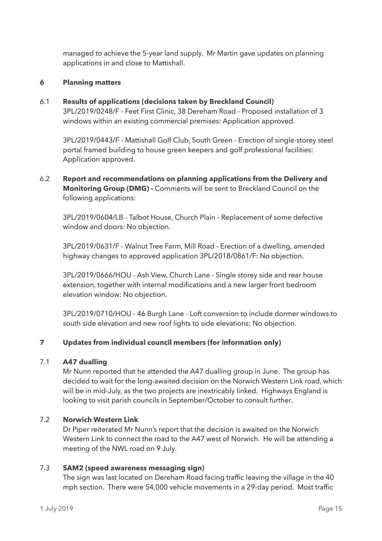managed to achieve the 5-year land supply. Mr Martin gave updates on planning applications in and close to Mattishall.

## **6 Planning matters**

## 6.1 **Results of applications (decisions taken by Breckland Council)**

3PL/2019/0248/F - Feet First Clinic, 38 Dereham Road - Proposed installation of 3 windows within an existing commercial premises: Application approved.

3PL/2019/0443/F - Mattishall Golf Club, South Green - Erection of single-storey steel portal framed building to house green keepers and golf professional facilities: Application approved.

6.2 **Report and recommendations on planning applications from the Delivery and Monitoring Group (DMG) -** Comments will be sent to Breckland Council on the following applications:

3PL/2019/0604/LB - Talbot House, Church Plain - Replacement of some defective window and doors: No objection.

 3PL/2019/0631/F - Walnut Tree Farm, Mill Road - Erection of a dwelling, amended highway changes to approved application 3PL/2018/0861/F: No objection.

3PL/2019/0666/HOU - Ash View, Church Lane - Single storey side and rear house extension, together with internal modifications and a new larger front bedroom elevation window: No objection.

3PL/2019/0710/HOU - 46 Burgh Lane - Loft conversion to include dormer windows to south side elevation and new roof lights to side elevations: No objection.

## **7 Updates from individual council members (for information only)**

## 7.1 **A47 dualling**

Mr Nunn reported that he attended the A47 dualling group in June. The group has decided to wait for the long-awaited decision on the Norwich Western Link road, which will be in mid-July, as the two projects are inextricably linked. Highways England is looking to visit parish councils in September/October to consult further.

## 7.2 **Norwich Western Link**

Dr Piper reiterated Mr Nunn's report that the decision is awaited on the Norwich Western Link to connect the road to the A47 west of Norwich. He will be attending a meeting of the NWL road on 9 July.

## 7.3 **SAM2 (speed awareness messaging sign)**

The sign was last located on Dereham Road facing traffic leaving the village in the 40 mph section. There were 54,000 vehicle movements in a 29-day period. Most traffic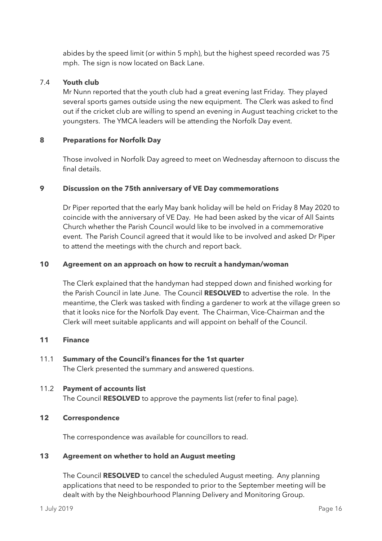abides by the speed limit (or within 5 mph), but the highest speed recorded was 75 mph. The sign is now located on Back Lane.

## 7.4 **Youth club**

Mr Nunn reported that the youth club had a great evening last Friday. They played several sports games outside using the new equipment. The Clerk was asked to find out if the cricket club are willing to spend an evening in August teaching cricket to the youngsters. The YMCA leaders will be attending the Norfolk Day event.

## **8 Preparations for Norfolk Day**

Those involved in Norfolk Day agreed to meet on Wednesday afternoon to discuss the final details.

## **9 Discussion on the 75th anniversary of VE Day commemorations**

Dr Piper reported that the early May bank holiday will be held on Friday 8 May 2020 to coincide with the anniversary of VE Day. He had been asked by the vicar of All Saints Church whether the Parish Council would like to be involved in a commemorative event. The Parish Council agreed that it would like to be involved and asked Dr Piper to attend the meetings with the church and report back.

## **10 Agreement on an approach on how to recruit a handyman/woman**

The Clerk explained that the handyman had stepped down and finished working for the Parish Council in late June. The Council **RESOLVED** to advertise the role. In the meantime, the Clerk was tasked with finding a gardener to work at the village green so that it looks nice for the Norfolk Day event. The Chairman, Vice-Chairman and the Clerk will meet suitable applicants and will appoint on behalf of the Council.

## **11 Finance**

## 11.1 **Summary of the Council's finances for the 1st quarter**

The Clerk presented the summary and answered questions.

## 11.2 **Payment of accounts list**

The Council **RESOLVED** to approve the payments list (refer to final page).

## **12 Correspondence**

The correspondence was available for councillors to read.

## **13 Agreement on whether to hold an August meeting**

The Council **RESOLVED** to cancel the scheduled August meeting. Any planning applications that need to be responded to prior to the September meeting will be dealt with by the Neighbourhood Planning Delivery and Monitoring Group.